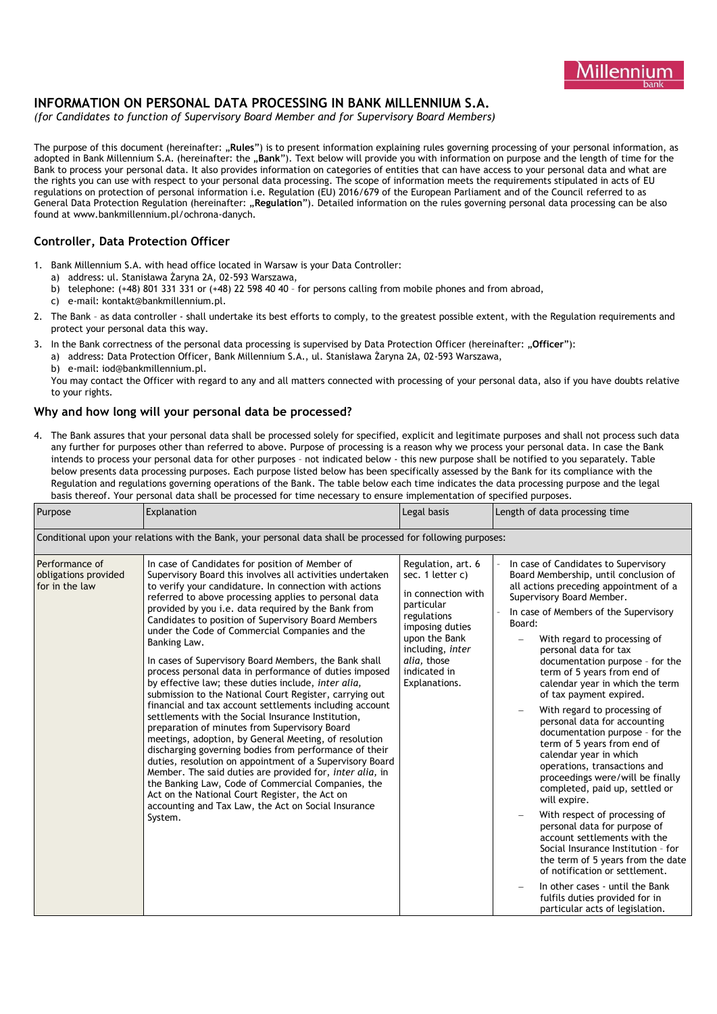

# **INFORMATION ON PERSONAL DATA PROCESSING IN BANK MILLENNIUM S.A.**

*(for Candidates to function of Supervisory Board Member and for Supervisory Board Members)*

The purpose of this document (hereinafter: "**Rules**") is to present information explaining rules governing processing of your personal information, as adopted in Bank Millennium S.A. (hereinafter: the "**Bank**"). Text below will provide you with information on purpose and the length of time for the Bank to process your personal data. It also provides information on categories of entities that can have access to your personal data and what are the rights you can use with respect to your personal data processing. The scope of information meets the requirements stipulated in acts of EU regulations on protection of personal information i.e. Regulation (EU) 2016/679 of the European Parliament and of the Council referred to as General Data Protection Regulation (hereinafter: "**Regulation**"). Detailed information on the rules governing personal data processing can be also found at www.bankmillennium.pl/ochrona-danych.

## **Controller, Data Protection Officer**

- 1. Bank Millennium S.A. with head office located in Warsaw is your Data Controller:
	- a) address: ul. Stanisława Żaryna 2A, 02-593 Warszawa,
	- b) telephone: (+48) 801 331 331 or (+48) 22 598 40 40 for persons calling from mobile phones and from abroad,
	- c) e-mail: [kontakt@bankmillennium.pl.](mailto:kontakt@bankmillennium.pl)
- 2. The Bank as data controller shall undertake its best efforts to comply, to the greatest possible extent, with the Regulation requirements and protect your personal data this way.
- 3. In the Bank correctness of the personal data processing is supervised by Data Protection Officer (hereinafter: "**Officer**"):
	- a) address: Data Protection Officer, Bank Millennium S.A., ul. Stanisława Żaryna 2A, 02-593 Warszawa,
	- b) e-mail: iod@bankmillennium.pl.

You may contact the Officer with regard to any and all matters connected with processing of your personal data, also if you have doubts relative to your rights.

#### **Why and how long will your personal data be processed?**

4. The Bank assures that your personal data shall be processed solely for specified, explicit and legitimate purposes and shall not process such data any further for purposes other than referred to above. Purpose of processing is a reason why we process your personal data. In case the Bank intends to process your personal data for other purposes – not indicated below - this new purpose shall be notified to you separately. Table below presents data processing purposes. Each purpose listed below has been specifically assessed by the Bank for its compliance with the Regulation and regulations governing operations of the Bank. The table below each time indicates the data processing purpose and the legal basis thereof. Your personal data shall be processed for time necessary to ensure implementation of specified purposes.

| Purpose                                                                                                      | Explanation                                                                                                                                                                                                                                                                                                                                                                                                                                                                                                                                                                                                                                                                                                                                                                                                                                                                                                                                                                                                                                                                                                                                                                                                                                 | Legal basis                                                                                                                                                                                       | Length of data processing time                                                                                                                                                                                                                                                                                                                                                                                                                                                                                                                                                                                                                                                                                                                                                                                                                                                                                                                                                                           |  |  |
|--------------------------------------------------------------------------------------------------------------|---------------------------------------------------------------------------------------------------------------------------------------------------------------------------------------------------------------------------------------------------------------------------------------------------------------------------------------------------------------------------------------------------------------------------------------------------------------------------------------------------------------------------------------------------------------------------------------------------------------------------------------------------------------------------------------------------------------------------------------------------------------------------------------------------------------------------------------------------------------------------------------------------------------------------------------------------------------------------------------------------------------------------------------------------------------------------------------------------------------------------------------------------------------------------------------------------------------------------------------------|---------------------------------------------------------------------------------------------------------------------------------------------------------------------------------------------------|----------------------------------------------------------------------------------------------------------------------------------------------------------------------------------------------------------------------------------------------------------------------------------------------------------------------------------------------------------------------------------------------------------------------------------------------------------------------------------------------------------------------------------------------------------------------------------------------------------------------------------------------------------------------------------------------------------------------------------------------------------------------------------------------------------------------------------------------------------------------------------------------------------------------------------------------------------------------------------------------------------|--|--|
| Conditional upon your relations with the Bank, your personal data shall be processed for following purposes: |                                                                                                                                                                                                                                                                                                                                                                                                                                                                                                                                                                                                                                                                                                                                                                                                                                                                                                                                                                                                                                                                                                                                                                                                                                             |                                                                                                                                                                                                   |                                                                                                                                                                                                                                                                                                                                                                                                                                                                                                                                                                                                                                                                                                                                                                                                                                                                                                                                                                                                          |  |  |
| Performance of<br>obligations provided<br>for in the law                                                     | In case of Candidates for position of Member of<br>Supervisory Board this involves all activities undertaken<br>to verify your candidature. In connection with actions<br>referred to above processing applies to personal data<br>provided by you i.e. data required by the Bank from<br>Candidates to position of Supervisory Board Members<br>under the Code of Commercial Companies and the<br>Banking Law.<br>In cases of Supervisory Board Members, the Bank shall<br>process personal data in performance of duties imposed<br>by effective law; these duties include, inter alia,<br>submission to the National Court Register, carrying out<br>financial and tax account settlements including account<br>settlements with the Social Insurance Institution,<br>preparation of minutes from Supervisory Board<br>meetings, adoption, by General Meeting, of resolution<br>discharging governing bodies from performance of their<br>duties, resolution on appointment of a Supervisory Board<br>Member. The said duties are provided for, inter alia, in<br>the Banking Law, Code of Commercial Companies, the<br>Act on the National Court Register, the Act on<br>accounting and Tax Law, the Act on Social Insurance<br>System. | Regulation, art. 6<br>sec. 1 letter c)<br>in connection with<br>particular<br>regulations<br>imposing duties<br>upon the Bank<br>including, inter<br>alia, those<br>indicated in<br>Explanations. | In case of Candidates to Supervisory<br>Board Membership, until conclusion of<br>all actions preceding appointment of a<br>Supervisory Board Member.<br>In case of Members of the Supervisory<br>Board:<br>With regard to processing of<br>personal data for tax<br>documentation purpose - for the<br>term of 5 years from end of<br>calendar year in which the term<br>of tax payment expired.<br>With regard to processing of<br>personal data for accounting<br>documentation purpose - for the<br>term of 5 years from end of<br>calendar year in which<br>operations, transactions and<br>proceedings were/will be finally<br>completed, paid up, settled or<br>will expire.<br>With respect of processing of<br>personal data for purpose of<br>account settlements with the<br>Social Insurance Institution - for<br>the term of 5 years from the date<br>of notification or settlement.<br>In other cases - until the Bank<br>fulfils duties provided for in<br>particular acts of legislation. |  |  |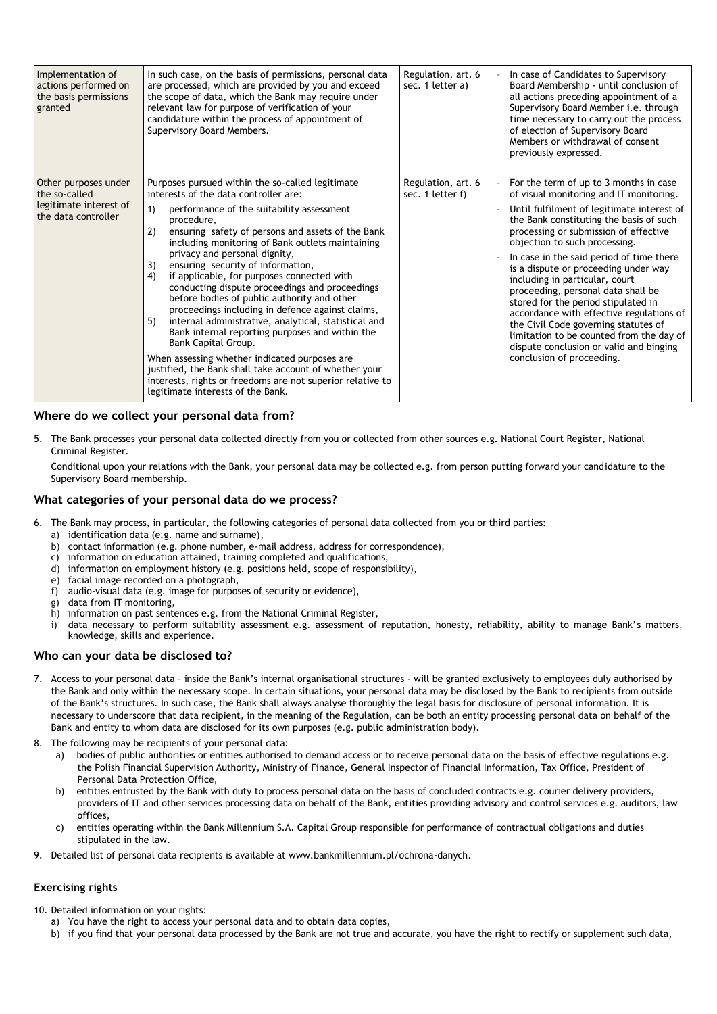| Implementation of<br>actions performed on<br>the basis permissions<br>granted          | In such case, on the basis of permissions, personal data<br>are processed, which are provided by you and exceed<br>the scope of data, which the Bank may require under<br>relevant law for purpose of verification of your<br>candidature within the process of appointment of<br>Supervisory Board Members.                                                                                                                                                                                                                                                                                                                                                                                                                                                                                                                                                                                                         | Regulation, art. 6<br>sec. 1 letter a) | In case of Candidates to Supervisory<br>Board Membership - until conclusion of<br>all actions preceding appointment of a<br>Supervisory Board Member i.e. through<br>time necessary to carry out the process<br>of election of Supervisory Board<br>Members or withdrawal of consent<br>previously expressed.                                                                                                                                                                                                                                                                                                                                                   |
|----------------------------------------------------------------------------------------|----------------------------------------------------------------------------------------------------------------------------------------------------------------------------------------------------------------------------------------------------------------------------------------------------------------------------------------------------------------------------------------------------------------------------------------------------------------------------------------------------------------------------------------------------------------------------------------------------------------------------------------------------------------------------------------------------------------------------------------------------------------------------------------------------------------------------------------------------------------------------------------------------------------------|----------------------------------------|-----------------------------------------------------------------------------------------------------------------------------------------------------------------------------------------------------------------------------------------------------------------------------------------------------------------------------------------------------------------------------------------------------------------------------------------------------------------------------------------------------------------------------------------------------------------------------------------------------------------------------------------------------------------|
| Other purposes under<br>the so-called<br>legitimate interest of<br>the data controller | Purposes pursued within the so-called legitimate<br>interests of the data controller are:<br>1)<br>performance of the suitability assessment<br>procedure.<br>2)<br>ensuring safety of persons and assets of the Bank<br>including monitoring of Bank outlets maintaining<br>privacy and personal dignity,<br>3)<br>ensuring security of information,<br>4)<br>if applicable, for purposes connected with<br>conducting dispute proceedings and proceedings<br>before bodies of public authority and other<br>proceedings including in defence against claims,<br>internal administrative, analytical, statistical and<br>5)<br>Bank internal reporting purposes and within the<br>Bank Capital Group.<br>When assessing whether indicated purposes are<br>justified, the Bank shall take account of whether your<br>interests, rights or freedoms are not superior relative to<br>legitimate interests of the Bank. | Regulation, art. 6<br>sec. 1 letter f) | For the term of up to 3 months in case<br>of visual monitoring and IT monitoring.<br>Until fulfilment of legitimate interest of<br>the Bank constituting the basis of such<br>processing or submission of effective<br>objection to such processing.<br>In case in the said period of time there<br>is a dispute or proceeding under way<br>including in particular, court<br>proceeding, personal data shall be<br>stored for the period stipulated in<br>accordance with effective regulations of<br>the Civil Code governing statutes of<br>limitation to be counted from the day of<br>dispute conclusion or valid and binging<br>conclusion of proceeding. |

### **Where do we collect your personal data from?**

5. The Bank processes your personal data collected directly from you or collected from other sources e.g. National Court Register, National Criminal Register.

Conditional upon your relations with the Bank, your personal data may be collected e.g. from person putting forward your candidature to the Supervisory Board membership.

#### **What categories of your personal data do we process?**

- 6. The Bank may process, in particular, the following categories of personal data collected from you or third parties:
	- a) identification data (e.g. name and surname),
	- b) contact information (e.g. phone number, e-mail address, address for correspondence),
	- c) information on education attained, training completed and qualifications,
	- d) information on employment history (e.g. positions held, scope of responsibility),
	- e) facial image recorded on a photograph,
	- f) audio-visual data (e.g. image for purposes of security or evidence),
	- g) data from IT monitoring,
	- h) information on past sentences e.g. from the National Criminal Register,
	- i) data necessary to perform suitability assessment e.g. assessment of reputation, honesty, reliability, ability to manage Bank's matters, knowledge, skills and experience.

#### **Who can your data be disclosed to?**

- 7. Access to your personal data inside the Bank's internal organisational structures will be granted exclusively to employees duly authorised by the Bank and only within the necessary scope. In certain situations, your personal data may be disclosed by the Bank to recipients from outside of the Bank's structures. In such case, the Bank shall always analyse thoroughly the legal basis for disclosure of personal information. It is necessary to underscore that data recipient, in the meaning of the Regulation, can be both an entity processing personal data on behalf of the Bank and entity to whom data are disclosed for its own purposes (e.g. public administration body).
- 8. The following may be recipients of your personal data:
	- a) bodies of public authorities or entities authorised to demand access or to receive personal data on the basis of effective regulations e.g. the Polish Financial Supervision Authority, Ministry of Finance, General Inspector of Financial Information, Tax Office, President of Personal Data Protection Office,
	- b) entities entrusted by the Bank with duty to process personal data on the basis of concluded contracts e.g. courier delivery providers, providers of IT and other services processing data on behalf of the Bank, entities providing advisory and control services e.g. auditors, law offices,
	- c) entities operating within the Bank Millennium S.A. Capital Group responsible for performance of contractual obligations and duties stipulated in the law.
- 9. Detailed list of personal data recipients is available at www.bankmillennium.pl/ochrona-danych.

#### **Exercising rights**

10. Detailed information on your rights:

- a) You have the right to access your personal data and to obtain data copies,
- b) if you find that your personal data processed by the Bank are not true and accurate, you have the right to rectify or supplement such data,